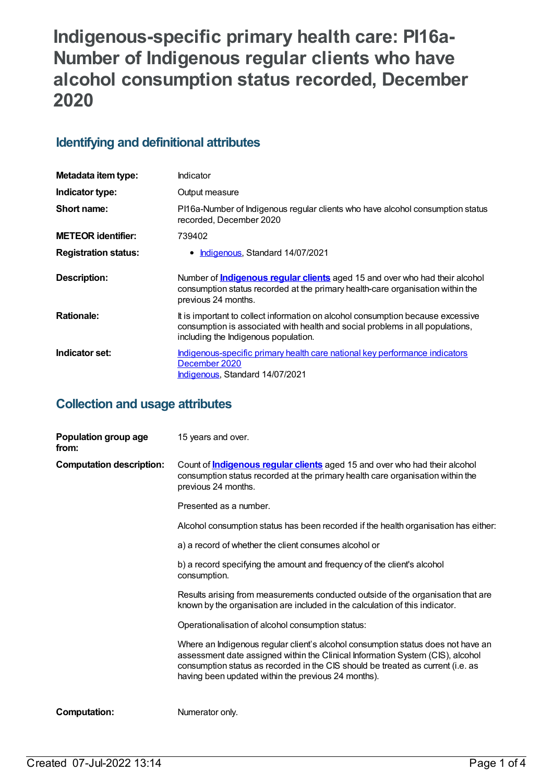# **Indigenous-specific primary health care: PI16a-Number of Indigenous regular clients who have alcohol consumption status recorded, December 2020**

#### **Identifying and definitional attributes**

| Metadata item type:         | Indicator                                                                                                                                                                                                |
|-----------------------------|----------------------------------------------------------------------------------------------------------------------------------------------------------------------------------------------------------|
| Indicator type:             | Output measure                                                                                                                                                                                           |
| Short name:                 | PI16a-Number of Indigenous regular clients who have alcohol consumption status<br>recorded, December 2020                                                                                                |
| <b>METEOR identifier:</b>   | 739402                                                                                                                                                                                                   |
| <b>Registration status:</b> | <b>Indigenous, Standard 14/07/2021</b><br>٠                                                                                                                                                              |
| Description:                | Number of <b>Indigenous regular clients</b> aged 15 and over who had their alcohol<br>consumption status recorded at the primary health-care organisation within the<br>previous 24 months.              |
| <b>Rationale:</b>           | It is important to collect information on alcohol consumption because excessive<br>consumption is associated with health and social problems in all populations,<br>including the Indigenous population. |
| Indicator set:              | Indigenous-specific primary health care national key performance indicators<br>December 2020<br>Indigenous, Standard 14/07/2021                                                                          |

### **Collection and usage attributes**

| Population group age<br>from:   | 15 years and over.                                                                                                                                                                                                                                                                                           |
|---------------------------------|--------------------------------------------------------------------------------------------------------------------------------------------------------------------------------------------------------------------------------------------------------------------------------------------------------------|
| <b>Computation description:</b> | Count of <b>Indigenous regular clients</b> aged 15 and over who had their alcohol<br>consumption status recorded at the primary health care organisation within the<br>previous 24 months.                                                                                                                   |
|                                 | Presented as a number.                                                                                                                                                                                                                                                                                       |
|                                 | Alcohol consumption status has been recorded if the health organisation has either:                                                                                                                                                                                                                          |
|                                 | a) a record of whether the client consumes alcohol or                                                                                                                                                                                                                                                        |
|                                 | b) a record specifying the amount and frequency of the client's alcohol<br>consumption.                                                                                                                                                                                                                      |
|                                 | Results arising from measurements conducted outside of the organisation that are<br>known by the organisation are included in the calculation of this indicator.                                                                                                                                             |
|                                 | Operationalisation of alcohol consumption status:                                                                                                                                                                                                                                                            |
|                                 | Where an Indigenous regular client's alcohol consumption status does not have an<br>assessment date assigned within the Clinical Information System (CIS), alcohol<br>consumption status as recorded in the CIS should be treated as current (i.e. as<br>having been updated within the previous 24 months). |
| <b>Computation:</b>             | Numerator only.                                                                                                                                                                                                                                                                                              |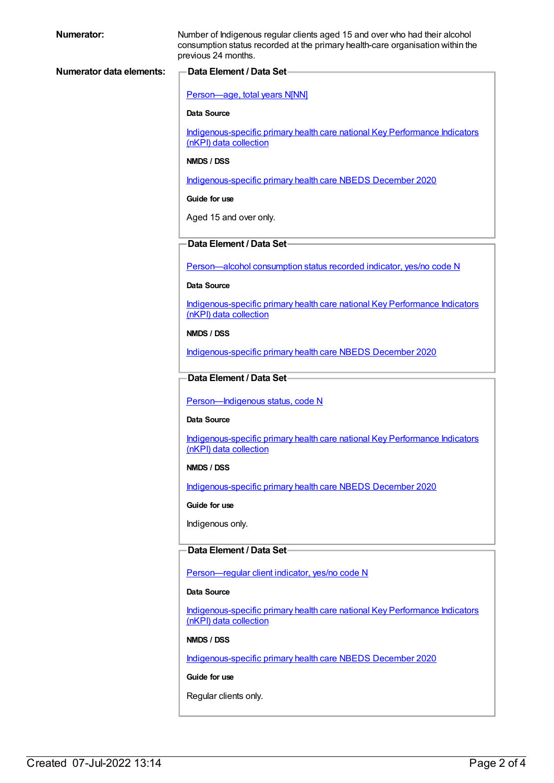| <b>Numerator:</b>        | Number of Indigenous regular clients aged 15 and over who had their alcohol<br>consumption status recorded at the primary health-care organisation within the<br>previous 24 months. |
|--------------------------|--------------------------------------------------------------------------------------------------------------------------------------------------------------------------------------|
| Numerator data elements: | -Data Element / Data Set-                                                                                                                                                            |
|                          | Person-age, total years N[NN]                                                                                                                                                        |
|                          | <b>Data Source</b>                                                                                                                                                                   |
|                          | Indigenous-specific primary health care national Key Performance Indicators<br>(nKPI) data collection                                                                                |
|                          | NMDS / DSS                                                                                                                                                                           |
|                          | Indigenous-specific primary health care NBEDS December 2020                                                                                                                          |
|                          | Guide for use                                                                                                                                                                        |
|                          | Aged 15 and over only.                                                                                                                                                               |
|                          | -Data Element / Data Set-                                                                                                                                                            |
|                          | Person-alcohol consumption status recorded indicator, yes/no code N                                                                                                                  |
|                          | Data Source                                                                                                                                                                          |
|                          | Indigenous-specific primary health care national Key Performance Indicators<br>(nKPI) data collection                                                                                |
|                          | NMDS / DSS                                                                                                                                                                           |
|                          | Indigenous-specific primary health care NBEDS December 2020                                                                                                                          |
|                          | Data Element / Data Set-                                                                                                                                                             |
|                          |                                                                                                                                                                                      |
|                          |                                                                                                                                                                                      |
|                          | Person-Indigenous status, code N<br><b>Data Source</b>                                                                                                                               |
|                          | Indigenous-specific primary health care national Key Performance Indicators<br>(nKPI) data collection                                                                                |
|                          | NMDS / DSS                                                                                                                                                                           |
|                          | Indigenous-specific primary health care NBEDS December 2020                                                                                                                          |
|                          | Guide for use                                                                                                                                                                        |
|                          | Indigenous only.                                                                                                                                                                     |
|                          | Data Element / Data Set-                                                                                                                                                             |
|                          | Person-regular client indicator, yes/no code N                                                                                                                                       |
|                          | Data Source                                                                                                                                                                          |
|                          | Indigenous-specific primary health care national Key Performance Indicators<br>(nKPI) data collection                                                                                |
|                          | NMDS / DSS                                                                                                                                                                           |
|                          | Indigenous-specific primary health care NBEDS December 2020                                                                                                                          |
|                          | Guide for use                                                                                                                                                                        |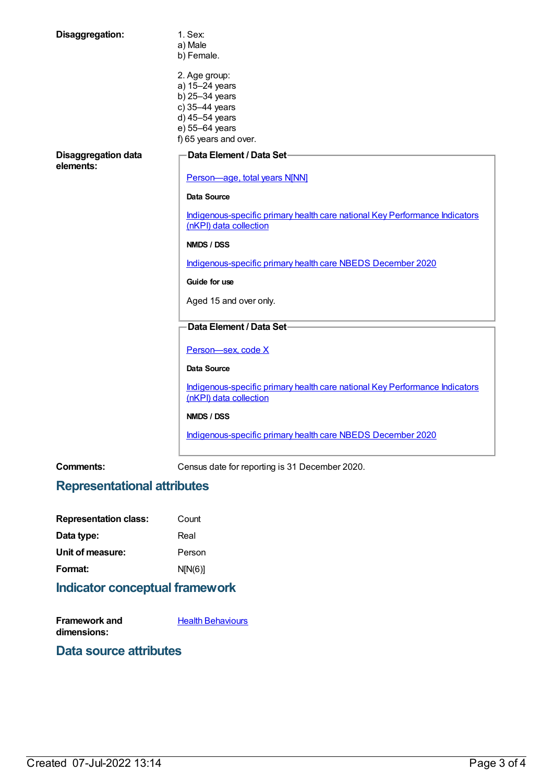| Disaggregation:                         | 1. Sex:<br>a) Male<br>b) Female.                                                                                                 |
|-----------------------------------------|----------------------------------------------------------------------------------------------------------------------------------|
|                                         | 2. Age group:<br>a) 15-24 years<br>b) 25-34 years<br>c) 35-44 years<br>d) 45-54 years<br>e) 55-64 years<br>f) 65 years and over. |
| <b>Disaggregation data</b><br>elements: | Data Element / Data Set-<br>Person-age, total years N[NN]                                                                        |
|                                         | <b>Data Source</b>                                                                                                               |
|                                         |                                                                                                                                  |
|                                         | Indigenous-specific primary health care national Key Performance Indicators<br>(nKPI) data collection                            |
|                                         | NMDS / DSS                                                                                                                       |
|                                         | Indigenous-specific primary health care NBEDS December 2020                                                                      |
|                                         | Guide for use                                                                                                                    |
|                                         | Aged 15 and over only.                                                                                                           |
|                                         | Data Element / Data Set-                                                                                                         |
|                                         | Person-sex, code X                                                                                                               |
|                                         | <b>Data Source</b>                                                                                                               |
|                                         | Indigenous-specific primary health care national Key Performance Indicators<br>(nKPI) data collection                            |
|                                         | NMDS / DSS                                                                                                                       |
|                                         | Indigenous-specific primary health care NBEDS December 2020                                                                      |
|                                         |                                                                                                                                  |

**Comments:** Census date for reporting is 31 December 2020.

# **Representational attributes**

| Count   |
|---------|
| Real    |
| Person  |
| N[N(6)] |
|         |

# **Indicator conceptual framework**

| Framework and | <b>Health Behaviours</b> |
|---------------|--------------------------|
| dimensions:   |                          |

#### **Data source attributes**